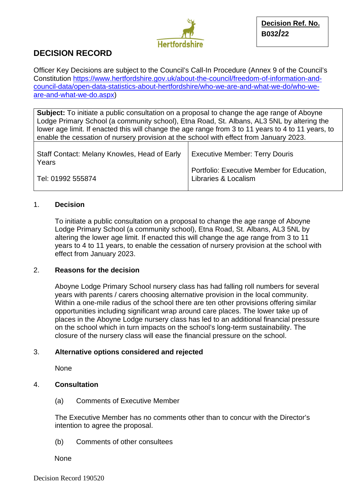

# **DECISION RECORD**

Officer Key Decisions are subject to the Council's Call-In Procedure (Annex 9 of the Council's Constitution [https://www.hertfordshire.gov.uk/about-the-council/freedom-of-information-and](https://www.hertfordshire.gov.uk/about-the-council/freedom-of-information-and-council-data/open-data-statistics-about-hertfordshire/who-we-are-and-what-we-do/who-we-are-and-what-we-do.aspx)[council-data/open-data-statistics-about-hertfordshire/who-we-are-and-what-we-do/who-we](https://www.hertfordshire.gov.uk/about-the-council/freedom-of-information-and-council-data/open-data-statistics-about-hertfordshire/who-we-are-and-what-we-do/who-we-are-and-what-we-do.aspx)[are-and-what-we-do.aspx\)](https://www.hertfordshire.gov.uk/about-the-council/freedom-of-information-and-council-data/open-data-statistics-about-hertfordshire/who-we-are-and-what-we-do/who-we-are-and-what-we-do.aspx)

**Subject:** To initiate a public consultation on a proposal to change the age range of Aboyne Lodge Primary School (a community school), Etna Road, St. Albans, AL3 5NL by altering the lower age limit. If enacted this will change the age range from 3 to 11 years to 4 to 11 years, to enable the cessation of nursery provision at the school with effect from January 2023.

| Staff Contact: Melany Knowles, Head of Early<br>Years | Executive Member: Terry Douris             |
|-------------------------------------------------------|--------------------------------------------|
|                                                       | Portfolio: Executive Member for Education, |
| Tel: 01992 555874                                     | Libraries & Localism                       |

### 1. **Decision**

To initiate a public consultation on a proposal to change the age range of Aboyne Lodge Primary School (a community school), Etna Road, St. Albans, AL3 5NL by altering the lower age limit. If enacted this will change the age range from 3 to 11 years to 4 to 11 years, to enable the cessation of nursery provision at the school with effect from January 2023.

#### 2. **Reasons for the decision**

Aboyne Lodge Primary School nursery class has had falling roll numbers for several years with parents / carers choosing alternative provision in the local community. Within a one-mile radius of the school there are ten other provisions offering similar opportunities including significant wrap around care places. The lower take up of places in the Aboyne Lodge nursery class has led to an additional financial pressure on the school which in turn impacts on the school's long-term sustainability. The closure of the nursery class will ease the financial pressure on the school.

#### 3. **Alternative options considered and rejected**

None

#### 4. **Consultation**

(a) Comments of Executive Member

The Executive Member has no comments other than to concur with the Director's intention to agree the proposal.

(b) Comments of other consultees

None